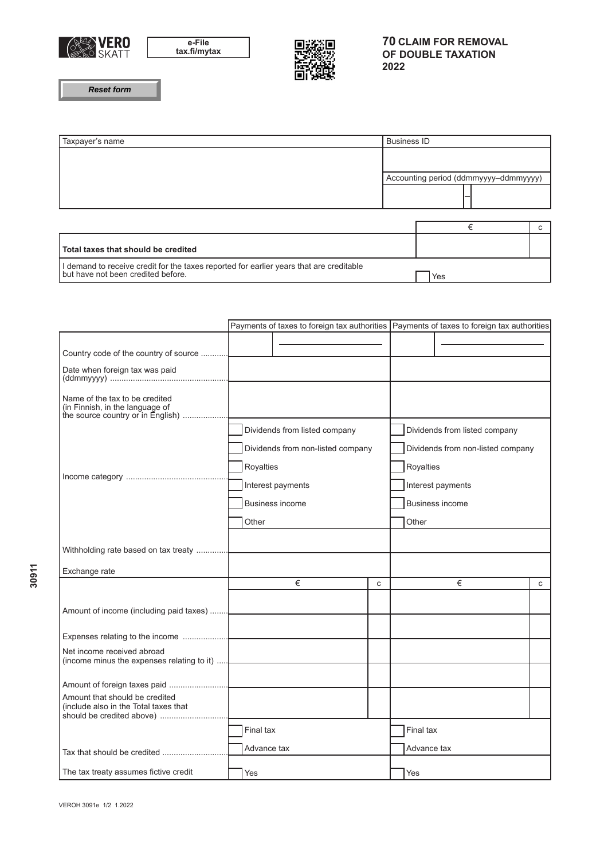



**Reset form**

| Taxpayer's name                                                                                                             | <b>Business ID</b>                    |   |  |    |
|-----------------------------------------------------------------------------------------------------------------------------|---------------------------------------|---|--|----|
|                                                                                                                             |                                       |   |  |    |
|                                                                                                                             | Accounting period (ddmmyyyy-ddmmyyyy) |   |  |    |
|                                                                                                                             |                                       |   |  |    |
|                                                                                                                             |                                       | € |  | C. |
|                                                                                                                             |                                       |   |  |    |
| Total taxes that should be credited                                                                                         |                                       |   |  |    |
| demand to receive credit for the taxes reported for earlier years that are creditable<br>but have not been credited before. | Yes                                   |   |  |    |

|                                                                                                        |                                   |                               |              |                                   | Payments of taxes to foreign tax authorities   Payments of taxes to foreign tax authorities |   |  |
|--------------------------------------------------------------------------------------------------------|-----------------------------------|-------------------------------|--------------|-----------------------------------|---------------------------------------------------------------------------------------------|---|--|
|                                                                                                        |                                   |                               |              |                                   |                                                                                             |   |  |
| Country code of the country of source                                                                  |                                   |                               |              |                                   |                                                                                             |   |  |
| Date when foreign tax was paid                                                                         |                                   |                               |              |                                   |                                                                                             |   |  |
| Name of the tax to be credited<br>(in Finnish, in the language of<br>the source country or in English) |                                   |                               |              |                                   |                                                                                             |   |  |
|                                                                                                        |                                   | Dividends from listed company |              | Dividends from listed company     |                                                                                             |   |  |
|                                                                                                        | Dividends from non-listed company |                               |              | Dividends from non-listed company |                                                                                             |   |  |
|                                                                                                        | Royalties                         |                               |              | Royalties                         |                                                                                             |   |  |
|                                                                                                        | Interest payments                 |                               |              | Interest payments                 |                                                                                             |   |  |
|                                                                                                        | Business income                   |                               |              | Business income                   |                                                                                             |   |  |
|                                                                                                        | Other                             |                               |              | Other                             |                                                                                             |   |  |
|                                                                                                        |                                   |                               |              |                                   |                                                                                             |   |  |
| Withholding rate based on tax treaty                                                                   |                                   |                               |              |                                   |                                                                                             |   |  |
| Exchange rate                                                                                          |                                   |                               |              |                                   |                                                                                             |   |  |
|                                                                                                        |                                   | €                             | $\mathbf{C}$ |                                   | €                                                                                           | С |  |
|                                                                                                        |                                   |                               |              |                                   |                                                                                             |   |  |
|                                                                                                        |                                   |                               |              |                                   |                                                                                             |   |  |
| Net income received abroad                                                                             |                                   |                               |              |                                   |                                                                                             |   |  |
| (income minus the expenses relating to it)                                                             |                                   |                               |              |                                   |                                                                                             |   |  |
|                                                                                                        |                                   |                               |              |                                   |                                                                                             |   |  |
| Amount that should be credited<br>(include also in the Total taxes that                                |                                   |                               |              |                                   |                                                                                             |   |  |
|                                                                                                        | Final tax                         |                               |              | Final tax                         |                                                                                             |   |  |
| Tax that should be credited                                                                            | Advance tax                       |                               |              | Advance tax                       |                                                                                             |   |  |
| The tax treaty assumes fictive credit                                                                  | Yes                               |                               |              | Yes                               |                                                                                             |   |  |